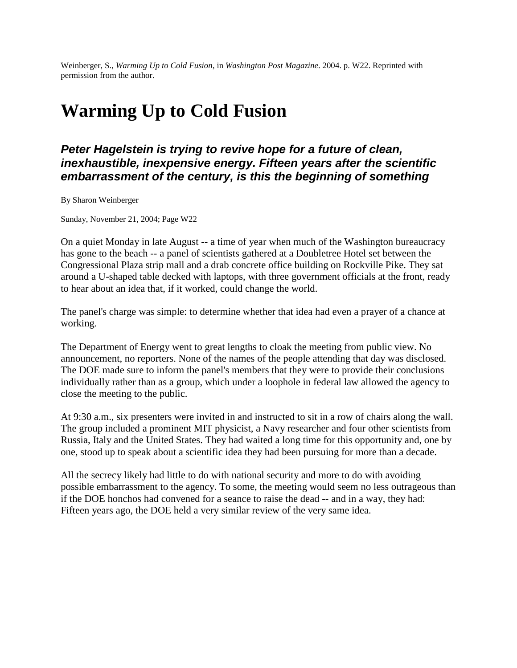Weinberger, S., *Warming Up to Cold Fusion*, in *Washington Post Magazine*. 2004. p. W22. Reprinted with permission from the author.

## **Warming Up to Cold Fusion**

## *Peter Hagelstein is trying to revive hope for a future of clean, inexhaustible, inexpensive energy. Fifteen years after the scientific embarrassment of the century, is this the beginning of something*

By Sharon Weinberger

Sunday, November 21, 2004; Page W22

On a quiet Monday in late August -- a time of year when much of the Washington bureaucracy has gone to the beach -- a panel of scientists gathered at a Doubletree Hotel set between the Congressional Plaza strip mall and a drab concrete office building on Rockville Pike. They sat around a U-shaped table decked with laptops, with three government officials at the front, ready to hear about an idea that, if it worked, could change the world.

The panel's charge was simple: to determine whether that idea had even a prayer of a chance at working.

The Department of Energy went to great lengths to cloak the meeting from public view. No announcement, no reporters. None of the names of the people attending that day was disclosed. The DOE made sure to inform the panel's members that they were to provide their conclusions individually rather than as a group, which under a loophole in federal law allowed the agency to close the meeting to the public.

At 9:30 a.m., six presenters were invited in and instructed to sit in a row of chairs along the wall. The group included a prominent MIT physicist, a Navy researcher and four other scientists from Russia, Italy and the United States. They had waited a long time for this opportunity and, one by one, stood up to speak about a scientific idea they had been pursuing for more than a decade.

All the secrecy likely had little to do with national security and more to do with avoiding possible embarrassment to the agency. To some, the meeting would seem no less outrageous than if the DOE honchos had convened for a seance to raise the dead -- and in a way, they had: Fifteen years ago, the DOE held a very similar review of the very same idea.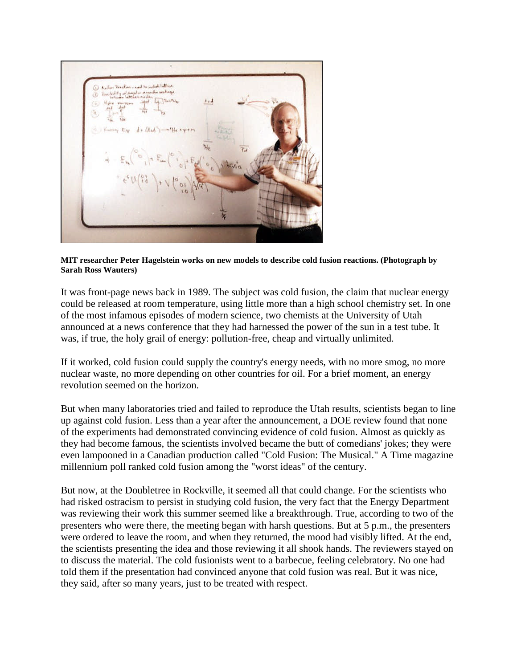

**MIT researcher Peter Hagelstein works on new models to describe cold fusion reactions. (Photograph by Sarah Ross Wauters)**

It was front-page news back in 1989. The subject was cold fusion, the claim that nuclear energy could be released at room temperature, using little more than a high school chemistry set. In one of the most infamous episodes of modern science, two chemists at the University of Utah announced at a news conference that they had harnessed the power of the sun in a test tube. It was, if true, the holy grail of energy: pollution-free, cheap and virtually unlimited.

If it worked, cold fusion could supply the country's energy needs, with no more smog, no more nuclear waste, no more depending on other countries for oil. For a brief moment, an energy revolution seemed on the horizon.

But when many laboratories tried and failed to reproduce the Utah results, scientists began to line up against cold fusion. Less than a year after the announcement, a DOE review found that none of the experiments had demonstrated convincing evidence of cold fusion. Almost as quickly as they had become famous, the scientists involved became the butt of comedians' jokes; they were even lampooned in a Canadian production called "Cold Fusion: The Musical." A Time magazine millennium poll ranked cold fusion among the "worst ideas" of the century.

But now, at the Doubletree in Rockville, it seemed all that could change. For the scientists who had risked ostracism to persist in studying cold fusion, the very fact that the Energy Department was reviewing their work this summer seemed like a breakthrough. True, according to two of the presenters who were there, the meeting began with harsh questions. But at 5 p.m., the presenters were ordered to leave the room, and when they returned, the mood had visibly lifted. At the end, the scientists presenting the idea and those reviewing it all shook hands. The reviewers stayed on to discuss the material. The cold fusionists went to a barbecue, feeling celebratory. No one had told them if the presentation had convinced anyone that cold fusion was real. But it was nice, they said, after so many years, just to be treated with respect.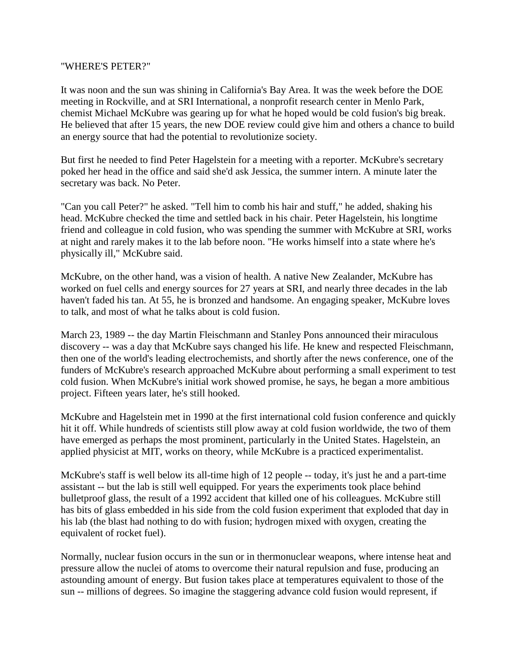## "WHERE'S PETER?"

It was noon and the sun was shining in California's Bay Area. It was the week before the DOE meeting in Rockville, and at SRI International, a nonprofit research center in Menlo Park, chemist Michael McKubre was gearing up for what he hoped would be cold fusion's big break. He believed that after 15 years, the new DOE review could give him and others a chance to build an energy source that had the potential to revolutionize society.

But first he needed to find Peter Hagelstein for a meeting with a reporter. McKubre's secretary poked her head in the office and said she'd ask Jessica, the summer intern. A minute later the secretary was back. No Peter.

"Can you call Peter?" he asked. "Tell him to comb his hair and stuff," he added, shaking his head. McKubre checked the time and settled back in his chair. Peter Hagelstein, his longtime friend and colleague in cold fusion, who was spending the summer with McKubre at SRI, works at night and rarely makes it to the lab before noon. "He works himself into a state where he's physically ill," McKubre said.

McKubre, on the other hand, was a vision of health. A native New Zealander, McKubre has worked on fuel cells and energy sources for 27 years at SRI, and nearly three decades in the lab haven't faded his tan. At 55, he is bronzed and handsome. An engaging speaker, McKubre loves to talk, and most of what he talks about is cold fusion.

March 23, 1989 -- the day Martin Fleischmann and Stanley Pons announced their miraculous discovery -- was a day that McKubre says changed his life. He knew and respected Fleischmann, then one of the world's leading electrochemists, and shortly after the news conference, one of the funders of McKubre's research approached McKubre about performing a small experiment to test cold fusion. When McKubre's initial work showed promise, he says, he began a more ambitious project. Fifteen years later, he's still hooked.

McKubre and Hagelstein met in 1990 at the first international cold fusion conference and quickly hit it off. While hundreds of scientists still plow away at cold fusion worldwide, the two of them have emerged as perhaps the most prominent, particularly in the United States. Hagelstein, an applied physicist at MIT, works on theory, while McKubre is a practiced experimentalist.

McKubre's staff is well below its all-time high of 12 people -- today, it's just he and a part-time assistant -- but the lab is still well equipped. For years the experiments took place behind bulletproof glass, the result of a 1992 accident that killed one of his colleagues. McKubre still has bits of glass embedded in his side from the cold fusion experiment that exploded that day in his lab (the blast had nothing to do with fusion; hydrogen mixed with oxygen, creating the equivalent of rocket fuel).

Normally, nuclear fusion occurs in the sun or in thermonuclear weapons, where intense heat and pressure allow the nuclei of atoms to overcome their natural repulsion and fuse, producing an astounding amount of energy. But fusion takes place at temperatures equivalent to those of the sun -- millions of degrees. So imagine the staggering advance cold fusion would represent, if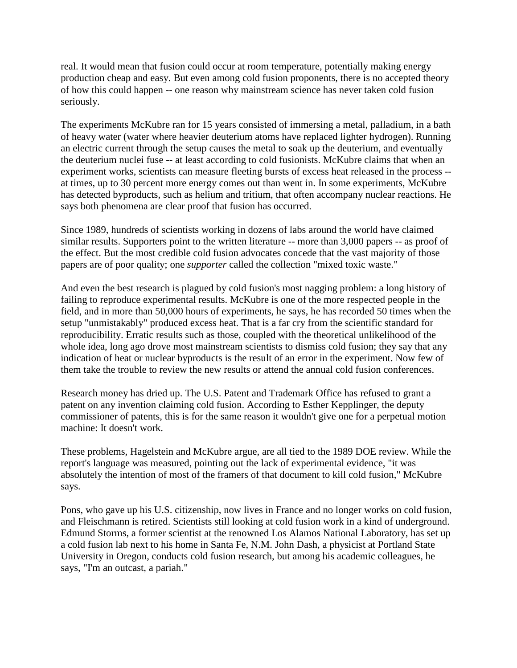real. It would mean that fusion could occur at room temperature, potentially making energy production cheap and easy. But even among cold fusion proponents, there is no accepted theory of how this could happen -- one reason why mainstream science has never taken cold fusion seriously.

The experiments McKubre ran for 15 years consisted of immersing a metal, palladium, in a bath of heavy water (water where heavier deuterium atoms have replaced lighter hydrogen). Running an electric current through the setup causes the metal to soak up the deuterium, and eventually the deuterium nuclei fuse -- at least according to cold fusionists. McKubre claims that when an experiment works, scientists can measure fleeting bursts of excess heat released in the process - at times, up to 30 percent more energy comes out than went in. In some experiments, McKubre has detected byproducts, such as helium and tritium, that often accompany nuclear reactions. He says both phenomena are clear proof that fusion has occurred.

Since 1989, hundreds of scientists working in dozens of labs around the world have claimed similar results. Supporters point to the written literature -- more than 3,000 papers -- as proof of the effect. But the most credible cold fusion advocates concede that the vast majority of those papers are of poor quality; one *supporter* called the collection "mixed toxic waste."

And even the best research is plagued by cold fusion's most nagging problem: a long history of failing to reproduce experimental results. McKubre is one of the more respected people in the field, and in more than 50,000 hours of experiments, he says, he has recorded 50 times when the setup "unmistakably" produced excess heat. That is a far cry from the scientific standard for reproducibility. Erratic results such as those, coupled with the theoretical unlikelihood of the whole idea, long ago drove most mainstream scientists to dismiss cold fusion; they say that any indication of heat or nuclear byproducts is the result of an error in the experiment. Now few of them take the trouble to review the new results or attend the annual cold fusion conferences.

Research money has dried up. The U.S. Patent and Trademark Office has refused to grant a patent on any invention claiming cold fusion. According to Esther Kepplinger, the deputy commissioner of patents, this is for the same reason it wouldn't give one for a perpetual motion machine: It doesn't work.

These problems, Hagelstein and McKubre argue, are all tied to the 1989 DOE review. While the report's language was measured, pointing out the lack of experimental evidence, "it was absolutely the intention of most of the framers of that document to kill cold fusion," McKubre says.

Pons, who gave up his U.S. citizenship, now lives in France and no longer works on cold fusion, and Fleischmann is retired. Scientists still looking at cold fusion work in a kind of underground. Edmund Storms, a former scientist at the renowned Los Alamos National Laboratory, has set up a cold fusion lab next to his home in Santa Fe, N.M. John Dash, a physicist at Portland State University in Oregon, conducts cold fusion research, but among his academic colleagues, he says, "I'm an outcast, a pariah."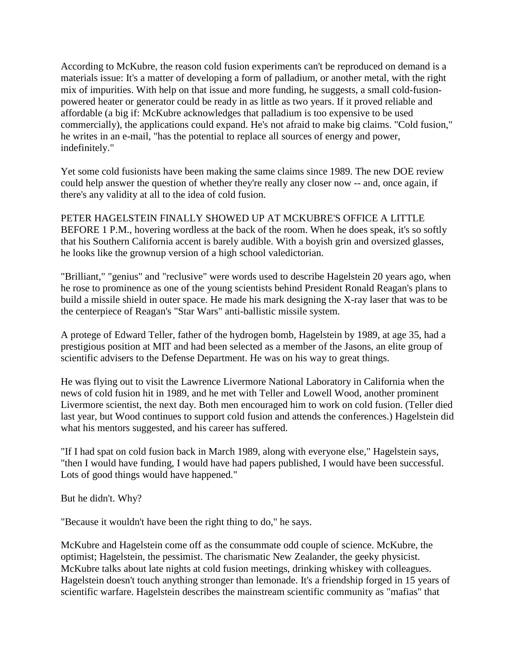According to McKubre, the reason cold fusion experiments can't be reproduced on demand is a materials issue: It's a matter of developing a form of palladium, or another metal, with the right mix of impurities. With help on that issue and more funding, he suggests, a small cold-fusionpowered heater or generator could be ready in as little as two years. If it proved reliable and affordable (a big if: McKubre acknowledges that palladium is too expensive to be used commercially), the applications could expand. He's not afraid to make big claims. "Cold fusion," he writes in an e-mail, "has the potential to replace all sources of energy and power, indefinitely."

Yet some cold fusionists have been making the same claims since 1989. The new DOE review could help answer the question of whether they're really any closer now -- and, once again, if there's any validity at all to the idea of cold fusion.

PETER HAGELSTEIN FINALLY SHOWED UP AT MCKUBRE'S OFFICE A LITTLE BEFORE 1 P.M., hovering wordless at the back of the room. When he does speak, it's so softly that his Southern California accent is barely audible. With a boyish grin and oversized glasses, he looks like the grownup version of a high school valedictorian.

"Brilliant," "genius" and "reclusive" were words used to describe Hagelstein 20 years ago, when he rose to prominence as one of the young scientists behind President Ronald Reagan's plans to build a missile shield in outer space. He made his mark designing the X-ray laser that was to be the centerpiece of Reagan's "Star Wars" anti-ballistic missile system.

A protege of Edward Teller, father of the hydrogen bomb, Hagelstein by 1989, at age 35, had a prestigious position at MIT and had been selected as a member of the Jasons, an elite group of scientific advisers to the Defense Department. He was on his way to great things.

He was flying out to visit the Lawrence Livermore National Laboratory in California when the news of cold fusion hit in 1989, and he met with Teller and Lowell Wood, another prominent Livermore scientist, the next day. Both men encouraged him to work on cold fusion. (Teller died last year, but Wood continues to support cold fusion and attends the conferences.) Hagelstein did what his mentors suggested, and his career has suffered.

"If I had spat on cold fusion back in March 1989, along with everyone else," Hagelstein says, "then I would have funding, I would have had papers published, I would have been successful. Lots of good things would have happened."

But he didn't. Why?

"Because it wouldn't have been the right thing to do," he says.

McKubre and Hagelstein come off as the consummate odd couple of science. McKubre, the optimist; Hagelstein, the pessimist. The charismatic New Zealander, the geeky physicist. McKubre talks about late nights at cold fusion meetings, drinking whiskey with colleagues. Hagelstein doesn't touch anything stronger than lemonade. It's a friendship forged in 15 years of scientific warfare. Hagelstein describes the mainstream scientific community as "mafias" that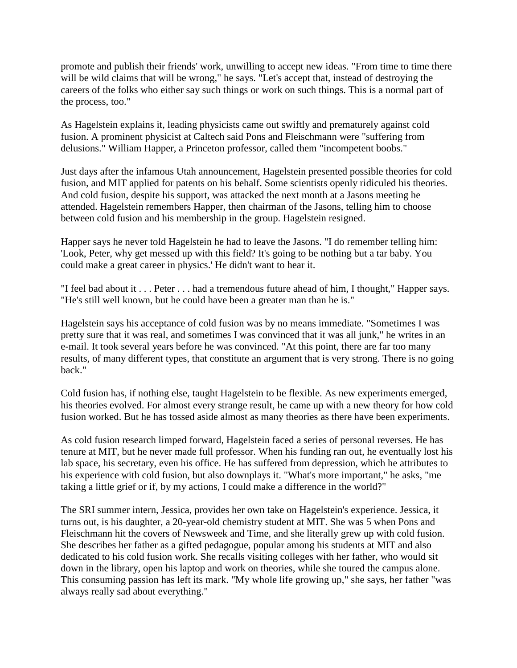promote and publish their friends' work, unwilling to accept new ideas. "From time to time there will be wild claims that will be wrong," he says. "Let's accept that, instead of destroying the careers of the folks who either say such things or work on such things. This is a normal part of the process, too."

As Hagelstein explains it, leading physicists came out swiftly and prematurely against cold fusion. A prominent physicist at Caltech said Pons and Fleischmann were "suffering from delusions." William Happer, a Princeton professor, called them "incompetent boobs."

Just days after the infamous Utah announcement, Hagelstein presented possible theories for cold fusion, and MIT applied for patents on his behalf. Some scientists openly ridiculed his theories. And cold fusion, despite his support, was attacked the next month at a Jasons meeting he attended. Hagelstein remembers Happer, then chairman of the Jasons, telling him to choose between cold fusion and his membership in the group. Hagelstein resigned.

Happer says he never told Hagelstein he had to leave the Jasons. "I do remember telling him: 'Look, Peter, why get messed up with this field? It's going to be nothing but a tar baby. You could make a great career in physics.' He didn't want to hear it.

"I feel bad about it . . . Peter . . . had a tremendous future ahead of him, I thought," Happer says. "He's still well known, but he could have been a greater man than he is."

Hagelstein says his acceptance of cold fusion was by no means immediate. "Sometimes I was pretty sure that it was real, and sometimes I was convinced that it was all junk," he writes in an e-mail. It took several years before he was convinced. "At this point, there are far too many results, of many different types, that constitute an argument that is very strong. There is no going back."

Cold fusion has, if nothing else, taught Hagelstein to be flexible. As new experiments emerged, his theories evolved. For almost every strange result, he came up with a new theory for how cold fusion worked. But he has tossed aside almost as many theories as there have been experiments.

As cold fusion research limped forward, Hagelstein faced a series of personal reverses. He has tenure at MIT, but he never made full professor. When his funding ran out, he eventually lost his lab space, his secretary, even his office. He has suffered from depression, which he attributes to his experience with cold fusion, but also downplays it. "What's more important," he asks, "me taking a little grief or if, by my actions, I could make a difference in the world?"

The SRI summer intern, Jessica, provides her own take on Hagelstein's experience. Jessica, it turns out, is his daughter, a 20-year-old chemistry student at MIT. She was 5 when Pons and Fleischmann hit the covers of Newsweek and Time, and she literally grew up with cold fusion. She describes her father as a gifted pedagogue, popular among his students at MIT and also dedicated to his cold fusion work. She recalls visiting colleges with her father, who would sit down in the library, open his laptop and work on theories, while she toured the campus alone. This consuming passion has left its mark. "My whole life growing up," she says, her father "was always really sad about everything."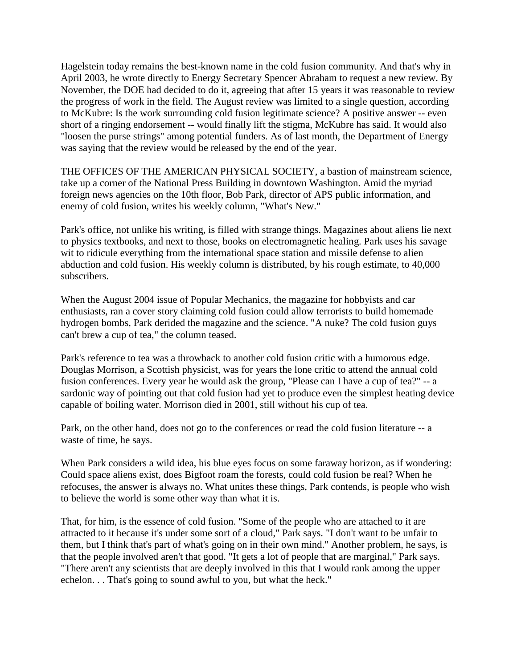Hagelstein today remains the best-known name in the cold fusion community. And that's why in April 2003, he wrote directly to Energy Secretary Spencer Abraham to request a new review. By November, the DOE had decided to do it, agreeing that after 15 years it was reasonable to review the progress of work in the field. The August review was limited to a single question, according to McKubre: Is the work surrounding cold fusion legitimate science? A positive answer -- even short of a ringing endorsement -- would finally lift the stigma, McKubre has said. It would also "loosen the purse strings" among potential funders. As of last month, the Department of Energy was saying that the review would be released by the end of the year.

THE OFFICES OF THE AMERICAN PHYSICAL SOCIETY, a bastion of mainstream science, take up a corner of the National Press Building in downtown Washington. Amid the myriad foreign news agencies on the 10th floor, Bob Park, director of APS public information, and enemy of cold fusion, writes his weekly column, "What's New."

Park's office, not unlike his writing, is filled with strange things. Magazines about aliens lie next to physics textbooks, and next to those, books on electromagnetic healing. Park uses his savage wit to ridicule everything from the international space station and missile defense to alien abduction and cold fusion. His weekly column is distributed, by his rough estimate, to 40,000 subscribers.

When the August 2004 issue of Popular Mechanics, the magazine for hobbyists and car enthusiasts, ran a cover story claiming cold fusion could allow terrorists to build homemade hydrogen bombs, Park derided the magazine and the science. "A nuke? The cold fusion guys can't brew a cup of tea," the column teased.

Park's reference to tea was a throwback to another cold fusion critic with a humorous edge. Douglas Morrison, a Scottish physicist, was for years the lone critic to attend the annual cold fusion conferences. Every year he would ask the group, "Please can I have a cup of tea?" -- a sardonic way of pointing out that cold fusion had yet to produce even the simplest heating device capable of boiling water. Morrison died in 2001, still without his cup of tea.

Park, on the other hand, does not go to the conferences or read the cold fusion literature -- a waste of time, he says.

When Park considers a wild idea, his blue eyes focus on some faraway horizon, as if wondering: Could space aliens exist, does Bigfoot roam the forests, could cold fusion be real? When he refocuses, the answer is always no. What unites these things, Park contends, is people who wish to believe the world is some other way than what it is.

That, for him, is the essence of cold fusion. "Some of the people who are attached to it are attracted to it because it's under some sort of a cloud," Park says. "I don't want to be unfair to them, but I think that's part of what's going on in their own mind." Another problem, he says, is that the people involved aren't that good. "It gets a lot of people that are marginal," Park says. "There aren't any scientists that are deeply involved in this that I would rank among the upper echelon. . . That's going to sound awful to you, but what the heck."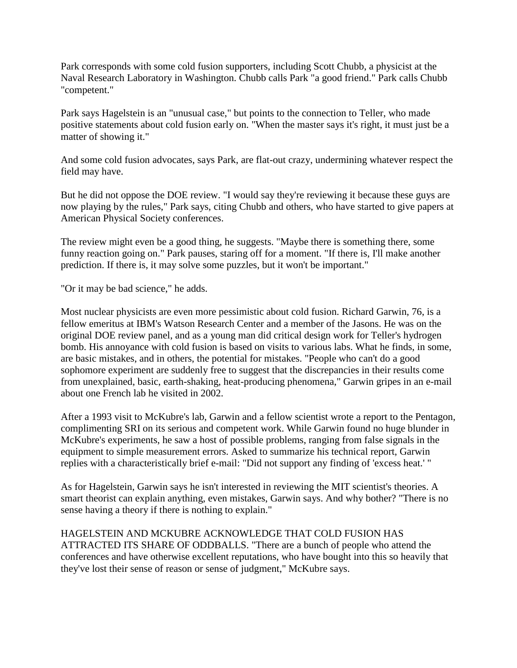Park corresponds with some cold fusion supporters, including Scott Chubb, a physicist at the Naval Research Laboratory in Washington. Chubb calls Park "a good friend." Park calls Chubb "competent."

Park says Hagelstein is an "unusual case," but points to the connection to Teller, who made positive statements about cold fusion early on. "When the master says it's right, it must just be a matter of showing it."

And some cold fusion advocates, says Park, are flat-out crazy, undermining whatever respect the field may have.

But he did not oppose the DOE review. "I would say they're reviewing it because these guys are now playing by the rules," Park says, citing Chubb and others, who have started to give papers at American Physical Society conferences.

The review might even be a good thing, he suggests. "Maybe there is something there, some funny reaction going on." Park pauses, staring off for a moment. "If there is, I'll make another prediction. If there is, it may solve some puzzles, but it won't be important."

"Or it may be bad science," he adds.

Most nuclear physicists are even more pessimistic about cold fusion. Richard Garwin, 76, is a fellow emeritus at IBM's Watson Research Center and a member of the Jasons. He was on the original DOE review panel, and as a young man did critical design work for Teller's hydrogen bomb. His annoyance with cold fusion is based on visits to various labs. What he finds, in some, are basic mistakes, and in others, the potential for mistakes. "People who can't do a good sophomore experiment are suddenly free to suggest that the discrepancies in their results come from unexplained, basic, earth-shaking, heat-producing phenomena," Garwin gripes in an e-mail about one French lab he visited in 2002.

After a 1993 visit to McKubre's lab, Garwin and a fellow scientist wrote a report to the Pentagon, complimenting SRI on its serious and competent work. While Garwin found no huge blunder in McKubre's experiments, he saw a host of possible problems, ranging from false signals in the equipment to simple measurement errors. Asked to summarize his technical report, Garwin replies with a characteristically brief e-mail: "Did not support any finding of 'excess heat.' "

As for Hagelstein, Garwin says he isn't interested in reviewing the MIT scientist's theories. A smart theorist can explain anything, even mistakes, Garwin says. And why bother? "There is no sense having a theory if there is nothing to explain."

HAGELSTEIN AND MCKUBRE ACKNOWLEDGE THAT COLD FUSION HAS ATTRACTED ITS SHARE OF ODDBALLS. "There are a bunch of people who attend the conferences and have otherwise excellent reputations, who have bought into this so heavily that they've lost their sense of reason or sense of judgment," McKubre says.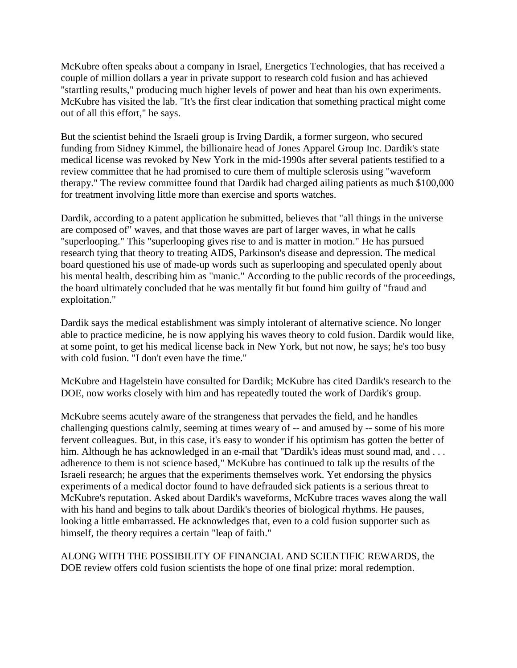McKubre often speaks about a company in Israel, Energetics Technologies, that has received a couple of million dollars a year in private support to research cold fusion and has achieved "startling results," producing much higher levels of power and heat than his own experiments. McKubre has visited the lab. "It's the first clear indication that something practical might come out of all this effort," he says.

But the scientist behind the Israeli group is Irving Dardik, a former surgeon, who secured funding from Sidney Kimmel, the billionaire head of Jones Apparel Group Inc. Dardik's state medical license was revoked by New York in the mid-1990s after several patients testified to a review committee that he had promised to cure them of multiple sclerosis using "waveform therapy." The review committee found that Dardik had charged ailing patients as much \$100,000 for treatment involving little more than exercise and sports watches.

Dardik, according to a patent application he submitted, believes that "all things in the universe are composed of" waves, and that those waves are part of larger waves, in what he calls "superlooping." This "superlooping gives rise to and is matter in motion." He has pursued research tying that theory to treating AIDS, Parkinson's disease and depression. The medical board questioned his use of made-up words such as superlooping and speculated openly about his mental health, describing him as "manic." According to the public records of the proceedings, the board ultimately concluded that he was mentally fit but found him guilty of "fraud and exploitation."

Dardik says the medical establishment was simply intolerant of alternative science. No longer able to practice medicine, he is now applying his waves theory to cold fusion. Dardik would like, at some point, to get his medical license back in New York, but not now, he says; he's too busy with cold fusion. "I don't even have the time."

McKubre and Hagelstein have consulted for Dardik; McKubre has cited Dardik's research to the DOE, now works closely with him and has repeatedly touted the work of Dardik's group.

McKubre seems acutely aware of the strangeness that pervades the field, and he handles challenging questions calmly, seeming at times weary of -- and amused by -- some of his more fervent colleagues. But, in this case, it's easy to wonder if his optimism has gotten the better of him. Although he has acknowledged in an e-mail that "Dardik's ideas must sound mad, and . . . adherence to them is not science based," McKubre has continued to talk up the results of the Israeli research; he argues that the experiments themselves work. Yet endorsing the physics experiments of a medical doctor found to have defrauded sick patients is a serious threat to McKubre's reputation. Asked about Dardik's waveforms, McKubre traces waves along the wall with his hand and begins to talk about Dardik's theories of biological rhythms. He pauses, looking a little embarrassed. He acknowledges that, even to a cold fusion supporter such as himself, the theory requires a certain "leap of faith."

ALONG WITH THE POSSIBILITY OF FINANCIAL AND SCIENTIFIC REWARDS, the DOE review offers cold fusion scientists the hope of one final prize: moral redemption.